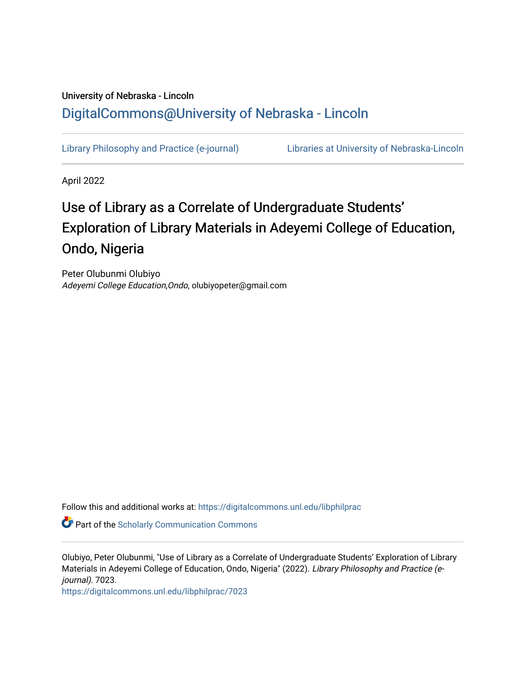## University of Nebraska - Lincoln [DigitalCommons@University of Nebraska - Lincoln](https://digitalcommons.unl.edu/)

[Library Philosophy and Practice \(e-journal\)](https://digitalcommons.unl.edu/libphilprac) [Libraries at University of Nebraska-Lincoln](https://digitalcommons.unl.edu/libraries) 

April 2022

# Use of Library as a Correlate of Undergraduate Students' Exploration of Library Materials in Adeyemi College of Education, Ondo, Nigeria

Peter Olubunmi Olubiyo Adeyemi College Education,Ondo, olubiyopeter@gmail.com

Follow this and additional works at: [https://digitalcommons.unl.edu/libphilprac](https://digitalcommons.unl.edu/libphilprac?utm_source=digitalcommons.unl.edu%2Flibphilprac%2F7023&utm_medium=PDF&utm_campaign=PDFCoverPages) 

**Part of the Scholarly Communication Commons** 

Olubiyo, Peter Olubunmi, "Use of Library as a Correlate of Undergraduate Students' Exploration of Library Materials in Adeyemi College of Education, Ondo, Nigeria" (2022). Library Philosophy and Practice (ejournal). 7023.

[https://digitalcommons.unl.edu/libphilprac/7023](https://digitalcommons.unl.edu/libphilprac/7023?utm_source=digitalcommons.unl.edu%2Flibphilprac%2F7023&utm_medium=PDF&utm_campaign=PDFCoverPages)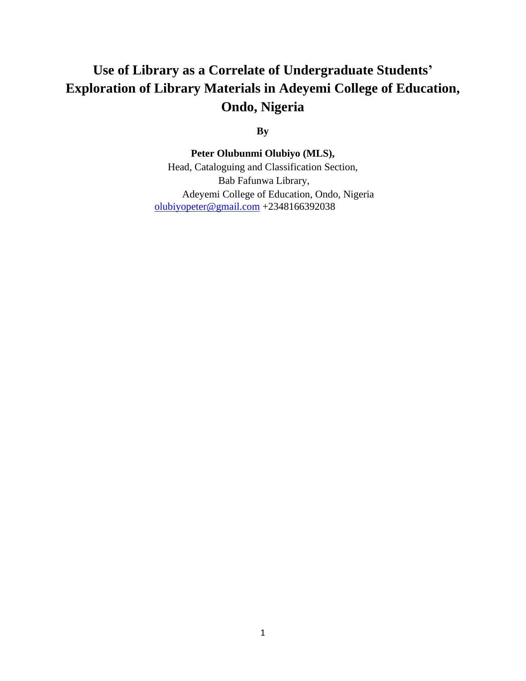## **Use of Library as a Correlate of Undergraduate Students' Exploration of Library Materials in Adeyemi College of Education, Ondo, Nigeria**

**By**

**Peter Olubunmi Olubiyo (MLS),** 

Head, Cataloguing and Classification Section, Bab Fafunwa Library, Adeyemi College of Education, Ondo, Nigeria [olubiyopeter@gmail.com](mailto:olubiyopeter@gmail.com) +2348166392038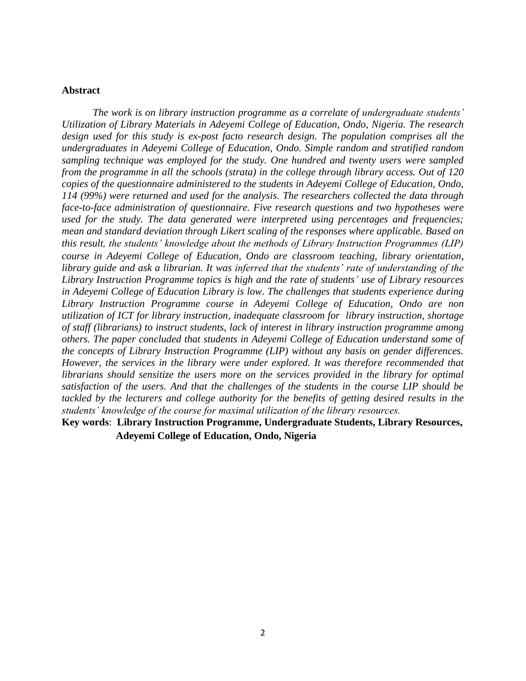### **Abstract**

*The work is on library instruction programme as a correlate of undergraduate students' Utilization of Library Materials in Adeyemi College of Education, Ondo, Nigeria. The research design used for this study is ex-post facto research design. The population comprises all the undergraduates in Adeyemi College of Education, Ondo. Simple random and stratified random sampling technique was employed for the study. One hundred and twenty users were sampled from the programme in all the schools (strata) in the college through library access. Out of 120 copies of the questionnaire administered to the students in Adeyemi College of Education, Ondo, 114 (99%) were returned and used for the analysis. The researchers collected the data through face-to-face administration of questionnaire. Five research questions and two hypotheses were used for the study. The data generated were interpreted using percentages and frequencies; mean and standard deviation through Likert scaling of the responses where applicable. Based on this result, the students' knowledge about the methods of Library Instruction Programmes (LIP) course in Adeyemi College of Education, Ondo are classroom teaching, library orientation, library guide and ask a librarian. It was inferred that the students' rate of understanding of the Library Instruction Programme topics is high and the rate of students' use of Library resources in Adeyemi College of Education Library is low. The challenges that students experience during Library Instruction Programme course in Adeyemi College of Education, Ondo are non utilization of ICT for library instruction, inadequate classroom for library instruction, shortage of staff (librarians) to instruct students, lack of interest in library instruction programme among others. The paper concluded that students in Adeyemi College of Education understand some of the concepts of Library Instruction Programme (LIP) without any basis on gender differences. However, the services in the library were under explored. It was therefore recommended that librarians should sensitize the users more on the services provided in the library for optimal satisfaction of the users. And that the challenges of the students in the course LIP should be tackled by the lecturers and college authority for the benefits of getting desired results in the students' knowledge of the course for maximal utilization of the library resources.* 

**Key words**: **Library Instruction Programme, Undergraduate Students, Library Resources, Adeyemi College of Education, Ondo, Nigeria**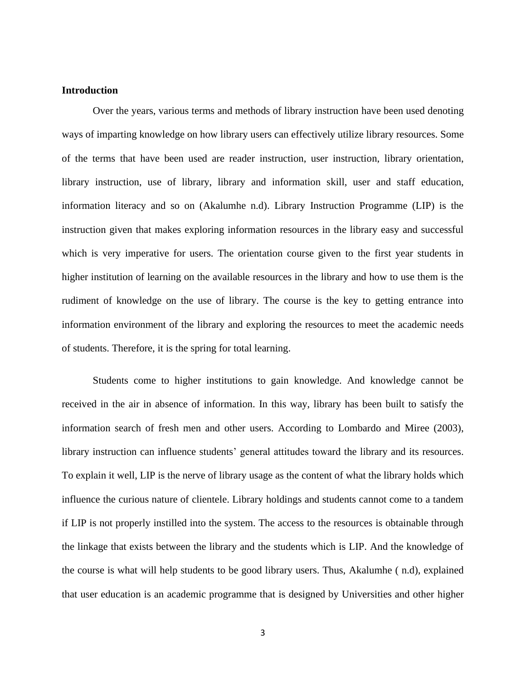## **Introduction**

Over the years, various terms and methods of library instruction have been used denoting ways of imparting knowledge on how library users can effectively utilize library resources. Some of the terms that have been used are reader instruction, user instruction, library orientation, library instruction, use of library, library and information skill, user and staff education, information literacy and so on (Akalumhe n.d). Library Instruction Programme (LIP) is the instruction given that makes exploring information resources in the library easy and successful which is very imperative for users. The orientation course given to the first year students in higher institution of learning on the available resources in the library and how to use them is the rudiment of knowledge on the use of library. The course is the key to getting entrance into information environment of the library and exploring the resources to meet the academic needs of students. Therefore, it is the spring for total learning.

Students come to higher institutions to gain knowledge. And knowledge cannot be received in the air in absence of information. In this way, library has been built to satisfy the information search of fresh men and other users. According to Lombardo and Miree (2003), library instruction can influence students' general attitudes toward the library and its resources. To explain it well, LIP is the nerve of library usage as the content of what the library holds which influence the curious nature of clientele. Library holdings and students cannot come to a tandem if LIP is not properly instilled into the system. The access to the resources is obtainable through the linkage that exists between the library and the students which is LIP. And the knowledge of the course is what will help students to be good library users. Thus, Akalumhe ( n.d), explained that user education is an academic programme that is designed by Universities and other higher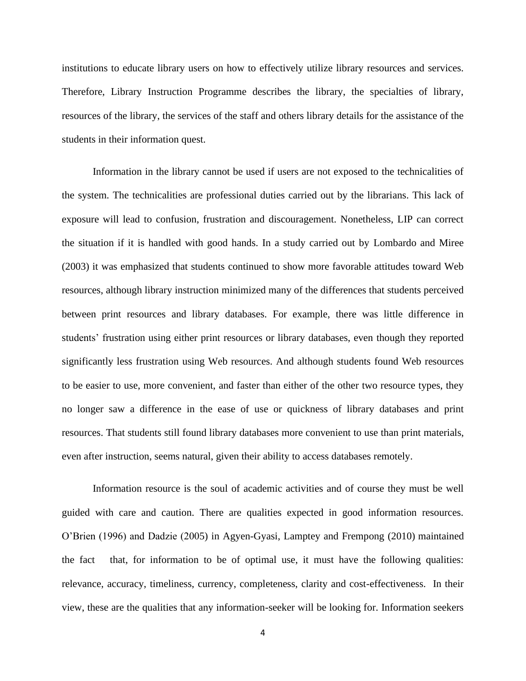institutions to educate library users on how to effectively utilize library resources and services. Therefore, Library Instruction Programme describes the library, the specialties of library, resources of the library, the services of the staff and others library details for the assistance of the students in their information quest.

Information in the library cannot be used if users are not exposed to the technicalities of the system. The technicalities are professional duties carried out by the librarians. This lack of exposure will lead to confusion, frustration and discouragement. Nonetheless, LIP can correct the situation if it is handled with good hands. In a study carried out by Lombardo and Miree (2003) it was emphasized that students continued to show more favorable attitudes toward Web resources, although library instruction minimized many of the differences that students perceived between print resources and library databases. For example, there was little difference in students' frustration using either print resources or library databases, even though they reported significantly less frustration using Web resources. And although students found Web resources to be easier to use, more convenient, and faster than either of the other two resource types, they no longer saw a difference in the ease of use or quickness of library databases and print resources. That students still found library databases more convenient to use than print materials, even after instruction, seems natural, given their ability to access databases remotely.

Information resource is the soul of academic activities and of course they must be well guided with care and caution. There are qualities expected in good information resources. O'Brien (1996) and Dadzie (2005) in Agyen-Gyasi, Lamptey and Frempong (2010) maintained the fact that, for information to be of optimal use, it must have the following qualities: relevance, accuracy, timeliness, currency, completeness, clarity and cost-effectiveness. In their view, these are the qualities that any information-seeker will be looking for. Information seekers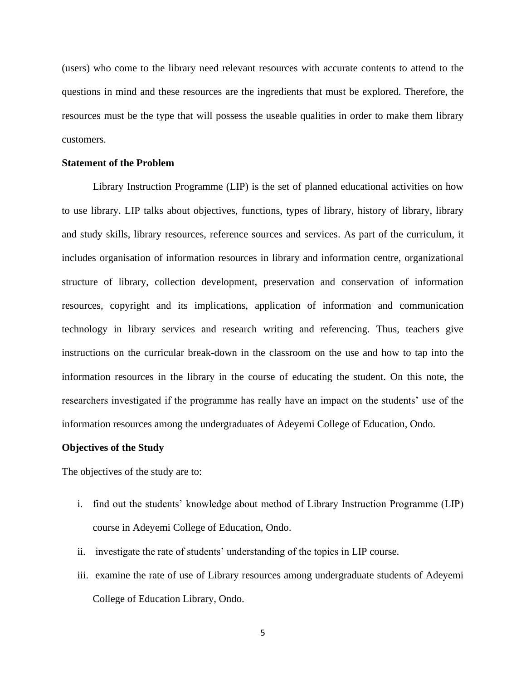(users) who come to the library need relevant resources with accurate contents to attend to the questions in mind and these resources are the ingredients that must be explored. Therefore, the resources must be the type that will possess the useable qualities in order to make them library customers.

#### **Statement of the Problem**

Library Instruction Programme (LIP) is the set of planned educational activities on how to use library. LIP talks about objectives, functions, types of library, history of library, library and study skills, library resources, reference sources and services. As part of the curriculum, it includes organisation of information resources in library and information centre, organizational structure of library, collection development, preservation and conservation of information resources, copyright and its implications, application of information and communication technology in library services and research writing and referencing. Thus, teachers give instructions on the curricular break-down in the classroom on the use and how to tap into the information resources in the library in the course of educating the student. On this note, the researchers investigated if the programme has really have an impact on the students' use of the information resources among the undergraduates of Adeyemi College of Education, Ondo.

#### **Objectives of the Study**

The objectives of the study are to:

- i. find out the students' knowledge about method of Library Instruction Programme (LIP) course in Adeyemi College of Education, Ondo.
- ii. investigate the rate of students' understanding of the topics in LIP course.
- iii. examine the rate of use of Library resources among undergraduate students of Adeyemi College of Education Library, Ondo.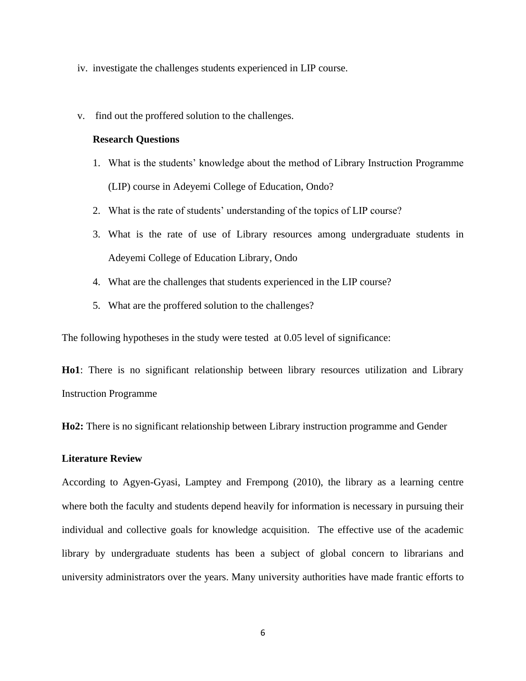- iv. investigate the challenges students experienced in LIP course.
- v. find out the proffered solution to the challenges.

### **Research Questions**

- 1. What is the students' knowledge about the method of Library Instruction Programme (LIP) course in Adeyemi College of Education, Ondo?
- 2. What is the rate of students' understanding of the topics of LIP course?
- 3. What is the rate of use of Library resources among undergraduate students in Adeyemi College of Education Library, Ondo
- 4. What are the challenges that students experienced in the LIP course?
- 5. What are the proffered solution to the challenges?

The following hypotheses in the study were tested at 0.05 level of significance:

**Ho1**: There is no significant relationship between library resources utilization and Library Instruction Programme

**Ho2:** There is no significant relationship between Library instruction programme and Gender

## **Literature Review**

According to Agyen-Gyasi, Lamptey and Frempong (2010), the library as a learning centre where both the faculty and students depend heavily for information is necessary in pursuing their individual and collective goals for knowledge acquisition. The effective use of the academic library by undergraduate students has been a subject of global concern to librarians and university administrators over the years. Many university authorities have made frantic efforts to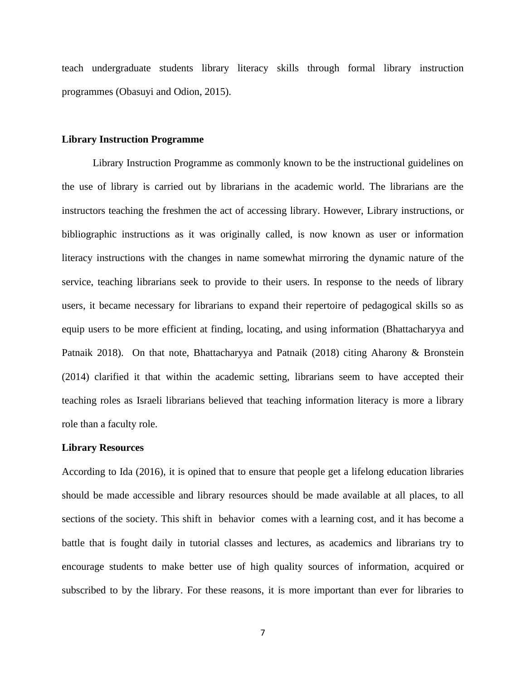teach undergraduate students library literacy skills through formal library instruction programmes (Obasuyi and Odion, 2015).

#### **Library Instruction Programme**

Library Instruction Programme as commonly known to be the instructional guidelines on the use of library is carried out by librarians in the academic world. The librarians are the instructors teaching the freshmen the act of accessing library. However, Library instructions, or bibliographic instructions as it was originally called, is now known as user or information literacy instructions with the changes in name somewhat mirroring the dynamic nature of the service, teaching librarians seek to provide to their users. In response to the needs of library users, it became necessary for librarians to expand their repertoire of pedagogical skills so as equip users to be more efficient at finding, locating, and using information (Bhattacharyya and Patnaik 2018). On that note, Bhattacharyya and Patnaik (2018) citing Aharony & Bronstein (2014) clarified it that within the academic setting, librarians seem to have accepted their teaching roles as Israeli librarians believed that teaching information literacy is more a library role than a faculty role.

#### **Library Resources**

According to Ida (2016), it is opined that to ensure that people get a lifelong education libraries should be made accessible and library resources should be made available at all places, to all sections of the society. This shift in behavior comes with a learning cost, and it has become a battle that is fought daily in tutorial classes and lectures, as academics and librarians try to encourage students to make better use of high quality sources of information, acquired or subscribed to by the library. For these reasons, it is more important than ever for libraries to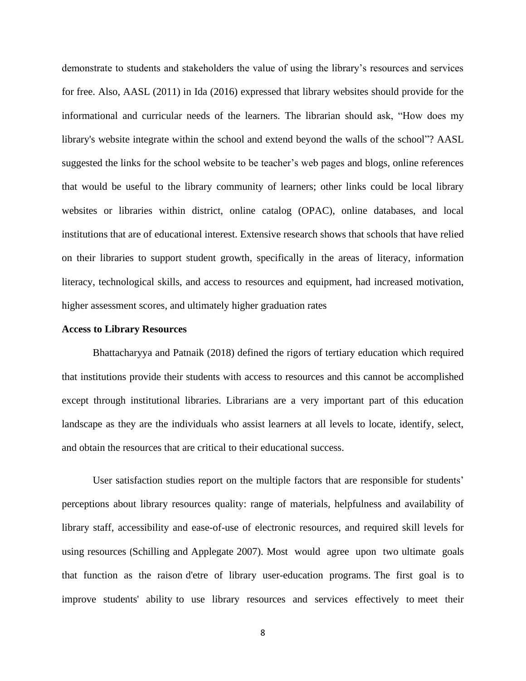demonstrate to students and stakeholders the value of using the library's resources and services for free. Also, AASL (2011) in Ida (2016) expressed that library websites should provide for the informational and curricular needs of the learners. The librarian should ask, "How does my library's website integrate within the school and extend beyond the walls of the school"? AASL suggested the links for the school website to be teacher's web pages and blogs, online references that would be useful to the library community of learners; other links could be local library websites or libraries within district, online catalog (OPAC), online databases, and local institutions that are of educational interest. Extensive research shows that schools that have relied on their libraries to support student growth, specifically in the areas of literacy, information literacy, technological skills, and access to resources and equipment, had increased motivation, higher assessment scores, and ultimately higher graduation rates

#### **Access to Library Resources**

Bhattacharyya and Patnaik (2018) defined the rigors of tertiary education which required that institutions provide their students with access to resources and this cannot be accomplished except through institutional libraries. Librarians are a very important part of this education landscape as they are the individuals who assist learners at all levels to locate, identify, select, and obtain the resources that are critical to their educational success.

User satisfaction studies report on the multiple factors that are responsible for students' perceptions about library resources quality: range of materials, helpfulness and availability of library staff, accessibility and ease-of-use of electronic resources, and required skill levels for using resources (Schilling and Applegate 2007). Most would agree upon two ultimate goals that function as the raison d'etre of library user-education programs. The first goal is to improve students' ability to use library resources and services effectively to meet their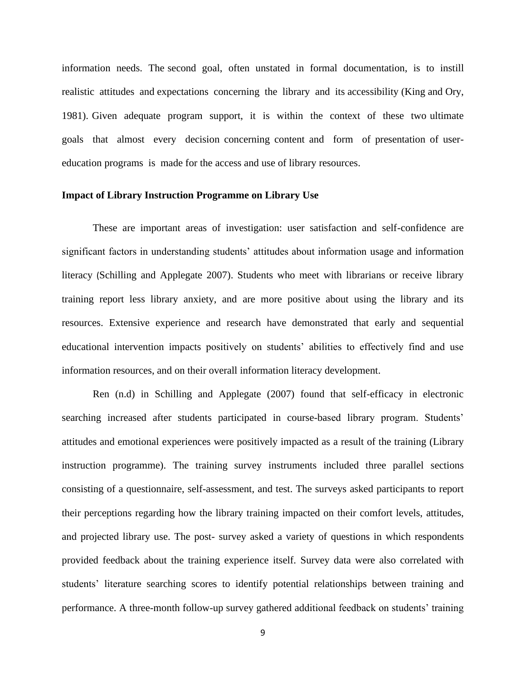information needs. The second goal, often unstated in formal documentation, is to instill realistic attitudes and expectations concerning the library and its accessibility (King and Ory, 1981). Given adequate program support, it is within the context of these two ultimate goals that almost every decision concerning content and form of presentation of usereducation programs is made for the access and use of library resources.

### **Impact of Library Instruction Programme on Library Use**

These are important areas of investigation: user satisfaction and self-confidence are significant factors in understanding students' attitudes about information usage and information literacy (Schilling and Applegate 2007). Students who meet with librarians or receive library training report less library anxiety, and are more positive about using the library and its resources. Extensive experience and research have demonstrated that early and sequential educational intervention impacts positively on students' abilities to effectively find and use information resources, and on their overall information literacy development.

Ren (n.d) in Schilling and Applegate (2007) found that self-efficacy in electronic searching increased after students participated in course-based library program. Students' attitudes and emotional experiences were positively impacted as a result of the training (Library instruction programme). The training survey instruments included three parallel sections consisting of a questionnaire, self-assessment, and test. The surveys asked participants to report their perceptions regarding how the library training impacted on their comfort levels, attitudes, and projected library use. The post- survey asked a variety of questions in which respondents provided feedback about the training experience itself. Survey data were also correlated with students' literature searching scores to identify potential relationships between training and performance. A three-month follow-up survey gathered additional feedback on students' training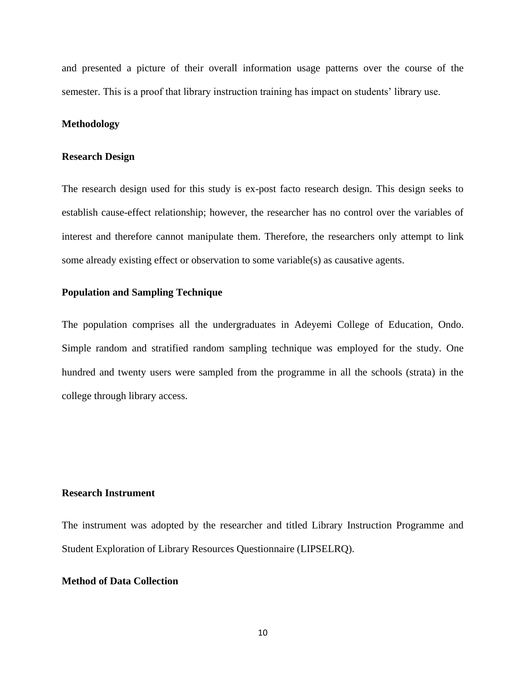and presented a picture of their overall information usage patterns over the course of the semester. This is a proof that library instruction training has impact on students' library use.

#### **Methodology**

#### **Research Design**

The research design used for this study is ex-post facto research design. This design seeks to establish cause-effect relationship; however, the researcher has no control over the variables of interest and therefore cannot manipulate them. Therefore, the researchers only attempt to link some already existing effect or observation to some variable(s) as causative agents.

#### **Population and Sampling Technique**

The population comprises all the undergraduates in Adeyemi College of Education, Ondo. Simple random and stratified random sampling technique was employed for the study. One hundred and twenty users were sampled from the programme in all the schools (strata) in the college through library access.

## **Research Instrument**

The instrument was adopted by the researcher and titled Library Instruction Programme and Student Exploration of Library Resources Questionnaire (LIPSELRQ).

## **Method of Data Collection**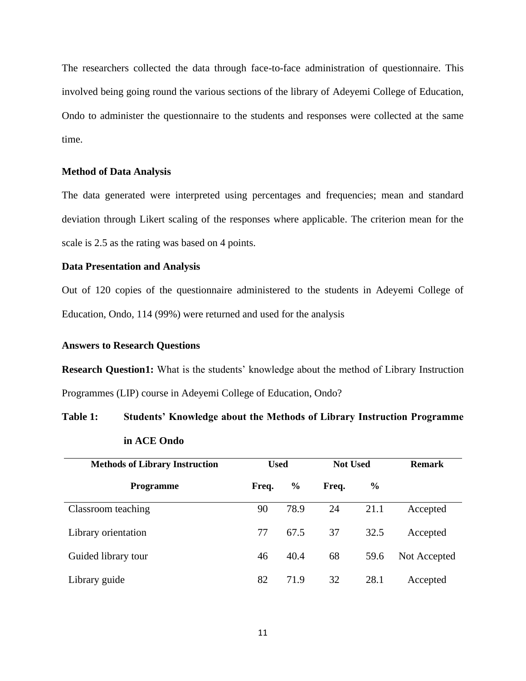The researchers collected the data through face-to-face administration of questionnaire. This involved being going round the various sections of the library of Adeyemi College of Education, Ondo to administer the questionnaire to the students and responses were collected at the same time.

### **Method of Data Analysis**

The data generated were interpreted using percentages and frequencies; mean and standard deviation through Likert scaling of the responses where applicable. The criterion mean for the scale is 2.5 as the rating was based on 4 points.

## **Data Presentation and Analysis**

Out of 120 copies of the questionnaire administered to the students in Adeyemi College of Education, Ondo, 114 (99%) were returned and used for the analysis

#### **Answers to Research Questions**

**Research Question1:** What is the students' knowledge about the method of Library Instruction Programmes (LIP) course in Adeyemi College of Education, Ondo?

## **Table 1: Students' Knowledge about the Methods of Library Instruction Programme in ACE Ondo**

| <b>Methods of Library Instruction</b> | <b>Used</b> |               | <b>Not Used</b> |               | <b>Remark</b> |
|---------------------------------------|-------------|---------------|-----------------|---------------|---------------|
| <b>Programme</b>                      | Freq.       | $\frac{6}{6}$ | Freq.           | $\frac{6}{9}$ |               |
| Classroom teaching                    | 90          | 78.9          | 24              | 21.1          | Accepted      |
| Library orientation                   | 77          | 67.5          | 37              | 32.5          | Accepted      |
| Guided library tour                   | 46          | 40.4          | 68              | 59.6          | Not Accepted  |
| Library guide                         | 82          | 71.9          | 32              | 28.1          | Accepted      |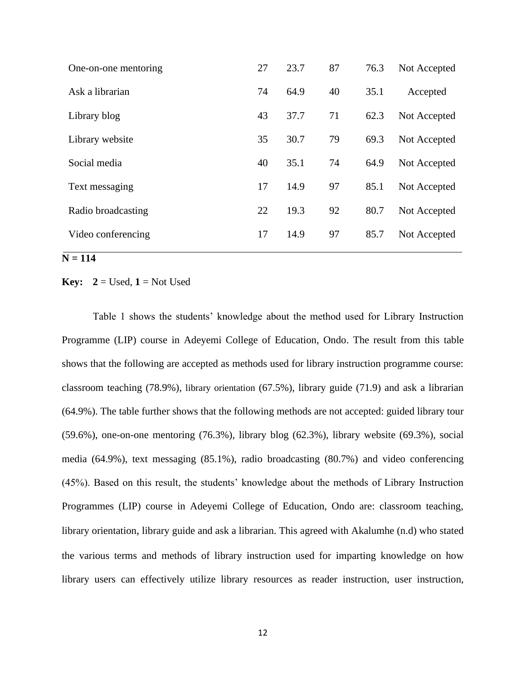| One-on-one mentoring | 27 | 23.7 | 87 | 76.3 | Not Accepted |
|----------------------|----|------|----|------|--------------|
| Ask a librarian      | 74 | 64.9 | 40 | 35.1 | Accepted     |
| Library blog         | 43 | 37.7 | 71 | 62.3 | Not Accepted |
| Library website      | 35 | 30.7 | 79 | 69.3 | Not Accepted |
| Social media         | 40 | 35.1 | 74 | 64.9 | Not Accepted |
| Text messaging       | 17 | 14.9 | 97 | 85.1 | Not Accepted |
| Radio broadcasting   | 22 | 19.3 | 92 | 80.7 | Not Accepted |
| Video conferencing   | 17 | 14.9 | 97 | 85.7 | Not Accepted |
|                      |    |      |    |      |              |

## $N = 114$

#### **Key:**  $2 =$  Used,  $1 =$  Not Used

Table 1 shows the students' knowledge about the method used for Library Instruction Programme (LIP) course in Adeyemi College of Education, Ondo. The result from this table shows that the following are accepted as methods used for library instruction programme course: classroom teaching (78.9%), library orientation (67.5%), library guide (71.9) and ask a librarian (64.9%). The table further shows that the following methods are not accepted: guided library tour (59.6%), one-on-one mentoring (76.3%), library blog (62.3%), library website (69.3%), social media (64.9%), text messaging (85.1%), radio broadcasting (80.7%) and video conferencing (45%). Based on this result, the students' knowledge about the methods of Library Instruction Programmes (LIP) course in Adeyemi College of Education, Ondo are: classroom teaching, library orientation, library guide and ask a librarian. This agreed with Akalumhe (n.d) who stated the various terms and methods of library instruction used for imparting knowledge on how library users can effectively utilize library resources as reader instruction, user instruction,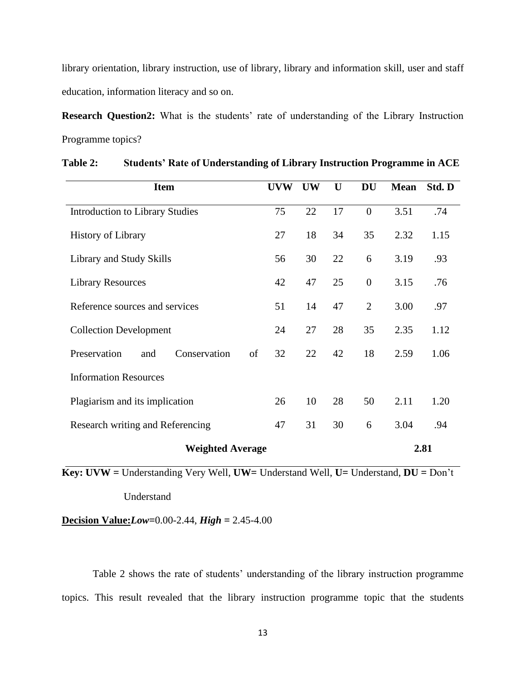library orientation, library instruction, use of library, library and information skill, user and staff education, information literacy and so on.

**Research Question2:** What is the students' rate of understanding of the Library Instruction Programme topics?

| <b>Item</b>                               | <b>UVW</b> | <b>UW</b> | U  | <b>DU</b>      | <b>Mean</b> | Std. D |
|-------------------------------------------|------------|-----------|----|----------------|-------------|--------|
| <b>Introduction to Library Studies</b>    | 75         | 22        | 17 | $\overline{0}$ | 3.51        | .74    |
| <b>History of Library</b>                 | 27         | 18        | 34 | 35             | 2.32        | 1.15   |
| Library and Study Skills                  | 56         | 30        | 22 | 6              | 3.19        | .93    |
| <b>Library Resources</b>                  | 42         | 47        | 25 | $\overline{0}$ | 3.15        | .76    |
| Reference sources and services            | 51         | 14        | 47 | $\overline{2}$ | 3.00        | .97    |
| <b>Collection Development</b>             | 24         | 27        | 28 | 35             | 2.35        | 1.12   |
| Preservation<br>Conservation<br>of<br>and | 32         | 22        | 42 | 18             | 2.59        | 1.06   |
| <b>Information Resources</b>              |            |           |    |                |             |        |
| Plagiarism and its implication            | 26         | 10        | 28 | 50             | 2.11        | 1.20   |
| Research writing and Referencing          | 47         | 31        | 30 | 6              | 3.04        | .94    |
| <b>Weighted Average</b>                   |            |           |    |                |             | 2.81   |

**Table 2: Students' Rate of Understanding of Library Instruction Programme in ACE**

**Key: UVW =** Understanding Very Well, **UW=** Understand Well, **U=** Understand, **DU =** Don't

Understand

**Decision Value:***Low=*0.00-2.44, *High =* 2.45-4.00

Table 2 shows the rate of students' understanding of the library instruction programme topics. This result revealed that the library instruction programme topic that the students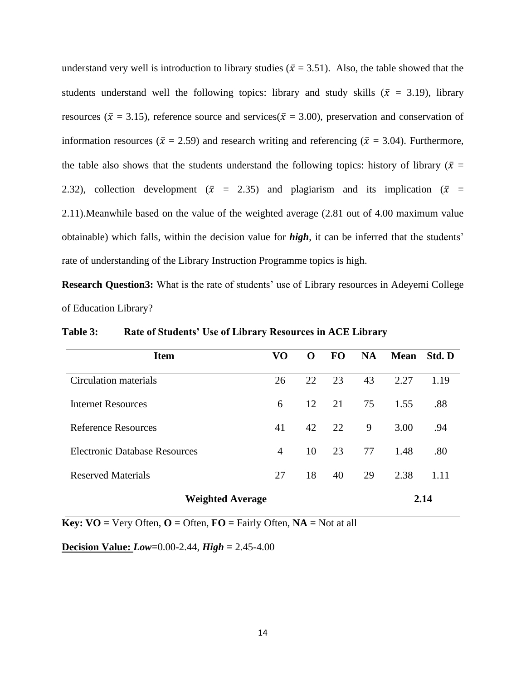understand very well is introduction to library studies ( $\bar{x}$  = 3.51). Also, the table showed that the students understand well the following topics: library and study skills ( $\bar{x}$  = 3.19), library resources ( $\bar{x}$  = 3.15), reference source and services( $\bar{x}$  = 3.00), preservation and conservation of information resources ( $\bar{x} = 2.59$ ) and research writing and referencing ( $\bar{x} = 3.04$ ). Furthermore, the table also shows that the students understand the following topics: history of library ( $\bar{x}$  = 2.32), collection development ( $\bar{x}$  = 2.35) and plagiarism and its implication ( $\bar{x}$  = 2.11).Meanwhile based on the value of the weighted average (2.81 out of 4.00 maximum value obtainable) which falls, within the decision value for *high*, it can be inferred that the students' rate of understanding of the Library Instruction Programme topics is high.

**Research Question3:** What is the rate of students' use of Library resources in Adeyemi College of Education Library?

| <b>Item</b>                          | VO             | $\Omega$ | <b>FO</b> | <b>NA</b> | <b>Mean</b> | Std. D |
|--------------------------------------|----------------|----------|-----------|-----------|-------------|--------|
| Circulation materials                | 26             | 22       | 23        | 43        | 2.27        | 1.19   |
| Internet Resources                   | 6              | 12       | 21        | 75        | 1.55        | .88    |
| Reference Resources                  | 41             | 42       | 22        | 9         | 3.00        | .94    |
| <b>Electronic Database Resources</b> | $\overline{4}$ | 10       | 23        | 77        | 1.48        | .80    |
| <b>Reserved Materials</b>            | 27             | 18       | 40        | 29        | 2.38        | 1.11   |
| <b>Weighted Average</b>              |                |          |           |           |             | 2.14   |

**Table 3: Rate of Students' Use of Library Resources in ACE Library**

**Key:**  $\overline{VO}$  = Very Often,  $\overline{O}$  = Often,  $\overline{FO}$  = Fairly Often,  $\overline{NA}$  = Not at all

#### **Decision Value:** *Low=*0.00-2.44, *High =* 2.45-4.00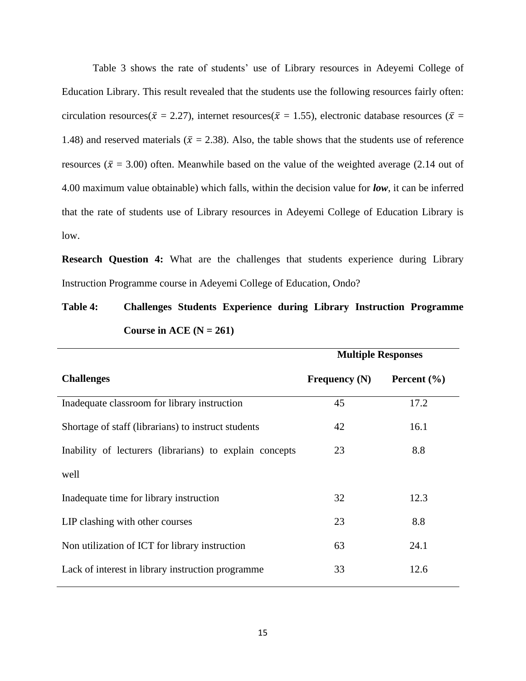Table 3 shows the rate of students' use of Library resources in Adeyemi College of Education Library. This result revealed that the students use the following resources fairly often: circulation resources( $\bar{x} = 2.27$ ), internet resources( $\bar{x} = 1.55$ ), electronic database resources ( $\bar{x} =$ 1.48) and reserved materials ( $\bar{x} = 2.38$ ). Also, the table shows that the students use of reference resources ( $\bar{x}$  = 3.00) often. Meanwhile based on the value of the weighted average (2.14 out of 4.00 maximum value obtainable) which falls, within the decision value for *low*, it can be inferred that the rate of students use of Library resources in Adeyemi College of Education Library is low.

**Research Question 4:** What are the challenges that students experience during Library Instruction Programme course in Adeyemi College of Education, Ondo?

## **Table 4: Challenges Students Experience during Library Instruction Programme**  Course in ACE  $(N = 261)$

|                                                         | <b>Multiple Responses</b> |                 |  |
|---------------------------------------------------------|---------------------------|-----------------|--|
| <b>Challenges</b>                                       | Frequency $(N)$           | Percent $(\% )$ |  |
| Inadequate classroom for library instruction            | 45                        | 17.2            |  |
| Shortage of staff (librarians) to instruct students     | 42                        | 16.1            |  |
| Inability of lecturers (librarians) to explain concepts | 23                        | 8.8             |  |
| well                                                    |                           |                 |  |
| Inadequate time for library instruction                 | 32                        | 12.3            |  |
| LIP clashing with other courses                         | 23                        | 8.8             |  |
| Non utilization of ICT for library instruction          | 63                        | 24.1            |  |
| Lack of interest in library instruction programme       | 33                        | 12.6            |  |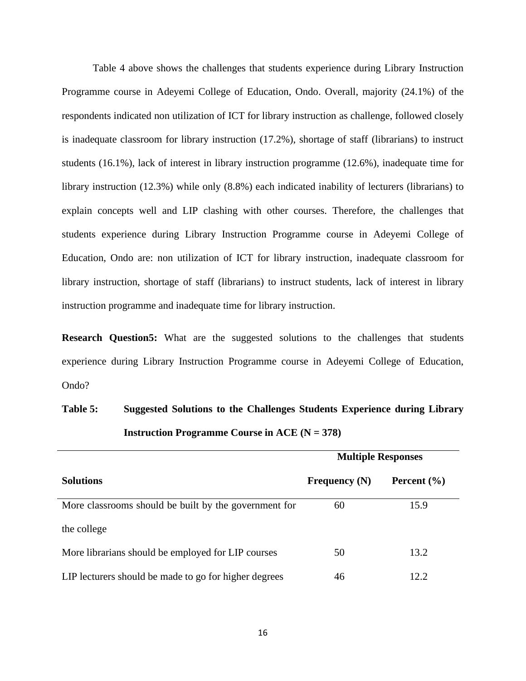Table 4 above shows the challenges that students experience during Library Instruction Programme course in Adeyemi College of Education, Ondo. Overall, majority (24.1%) of the respondents indicated non utilization of ICT for library instruction as challenge, followed closely is inadequate classroom for library instruction (17.2%), shortage of staff (librarians) to instruct students (16.1%), lack of interest in library instruction programme (12.6%), inadequate time for library instruction (12.3%) while only (8.8%) each indicated inability of lecturers (librarians) to explain concepts well and LIP clashing with other courses. Therefore, the challenges that students experience during Library Instruction Programme course in Adeyemi College of Education, Ondo are: non utilization of ICT for library instruction, inadequate classroom for library instruction, shortage of staff (librarians) to instruct students, lack of interest in library instruction programme and inadequate time for library instruction.

**Research Question5:** What are the suggested solutions to the challenges that students experience during Library Instruction Programme course in Adeyemi College of Education, Ondo?

## **Table 5: Suggested Solutions to the Challenges Students Experience during Library Instruction Programme Course in ACE (N = 378)**

|                                                       | <b>Multiple Responses</b> |                 |  |  |
|-------------------------------------------------------|---------------------------|-----------------|--|--|
| <b>Solutions</b>                                      | Frequency $(N)$           | Percent $(\% )$ |  |  |
| More classrooms should be built by the government for | 60                        | 15.9            |  |  |
| the college                                           |                           |                 |  |  |
| More librarians should be employed for LIP courses    | 50                        | 13.2            |  |  |
| LIP lecturers should be made to go for higher degrees | 46                        | 12.2            |  |  |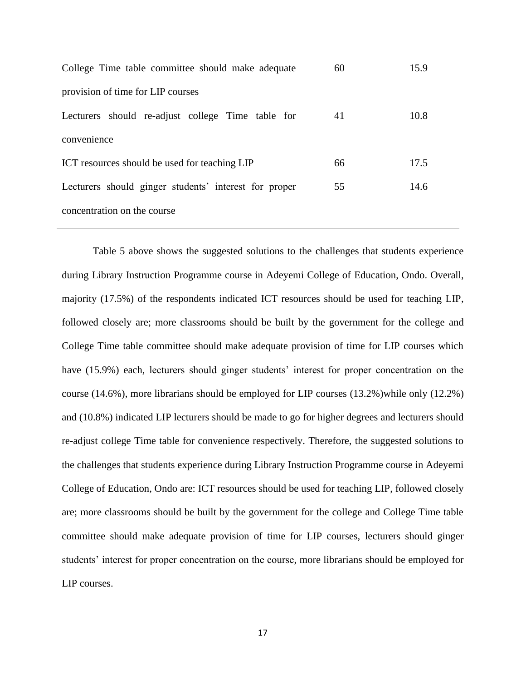| College Time table committee should make adequate     | 60 | 15.9 |
|-------------------------------------------------------|----|------|
| provision of time for LIP courses                     |    |      |
| Lecturers should re-adjust college Time table for     | 41 | 10.8 |
| convenience                                           |    |      |
| ICT resources should be used for teaching LIP         | 66 | 17.5 |
| Lecturers should ginger students' interest for proper | 55 | 14.6 |
| concentration on the course                           |    |      |

Table 5 above shows the suggested solutions to the challenges that students experience during Library Instruction Programme course in Adeyemi College of Education, Ondo. Overall, majority (17.5%) of the respondents indicated ICT resources should be used for teaching LIP, followed closely are; more classrooms should be built by the government for the college and College Time table committee should make adequate provision of time for LIP courses which have (15.9%) each, lecturers should ginger students' interest for proper concentration on the course  $(14.6\%)$ , more librarians should be employed for LIP courses  $(13.2\%)$  while only  $(12.2\%)$ and (10.8%) indicated LIP lecturers should be made to go for higher degrees and lecturers should re-adjust college Time table for convenience respectively. Therefore, the suggested solutions to the challenges that students experience during Library Instruction Programme course in Adeyemi College of Education, Ondo are: ICT resources should be used for teaching LIP, followed closely are; more classrooms should be built by the government for the college and College Time table committee should make adequate provision of time for LIP courses, lecturers should ginger students' interest for proper concentration on the course, more librarians should be employed for LIP courses.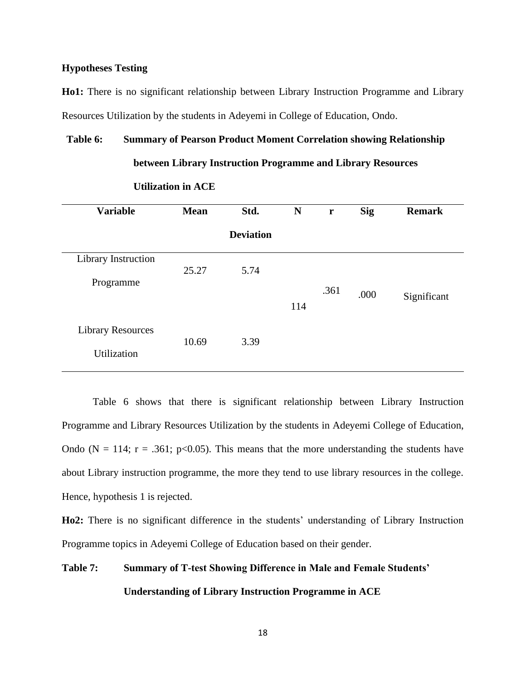## **Hypotheses Testing**

**Ho1:** There is no significant relationship between Library Instruction Programme and Library Resources Utilization by the students in Adeyemi in College of Education, Ondo.

 **between Library Instruction Programme and Library Resources**

## **Table 6: Summary of Pearson Product Moment Correlation showing Relationship**

| <b>Variable</b>          | <b>Mean</b> | Std.             | N   | r    | <b>Sig</b> | <b>Remark</b> |
|--------------------------|-------------|------------------|-----|------|------------|---------------|
|                          |             | <b>Deviation</b> |     |      |            |               |
| Library Instruction      |             |                  |     |      |            |               |
| Programme                | 25.27       | 5.74             |     |      |            |               |
|                          |             |                  |     | .361 | .000       | Significant   |
|                          |             |                  | 114 |      |            |               |
| <b>Library Resources</b> |             |                  |     |      |            |               |
| Utilization              | 10.69       | 3.39             |     |      |            |               |
|                          |             |                  |     |      |            |               |

#### **Utilization in ACE**

Table 6 shows that there is significant relationship between Library Instruction Programme and Library Resources Utilization by the students in Adeyemi College of Education, Ondo (N = 114;  $r = .361$ ;  $p < 0.05$ ). This means that the more understanding the students have about Library instruction programme, the more they tend to use library resources in the college. Hence, hypothesis 1 is rejected.

**Ho2:** There is no significant difference in the students' understanding of Library Instruction Programme topics in Adeyemi College of Education based on their gender.

# **Table 7: Summary of T-test Showing Difference in Male and Female Students' Understanding of Library Instruction Programme in ACE**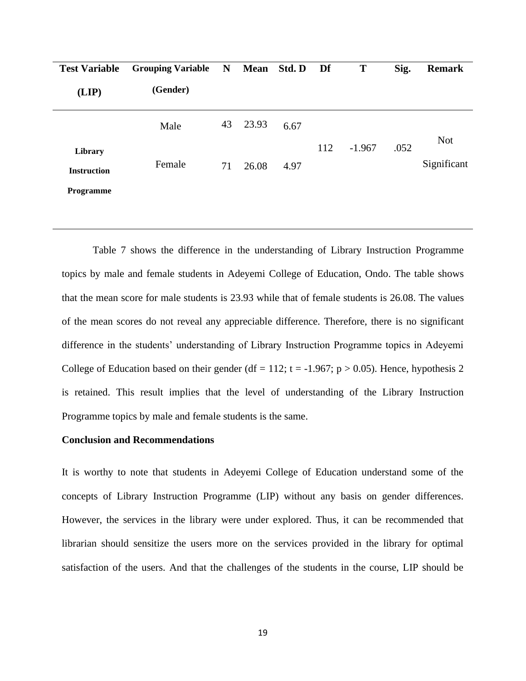| <b>Test Variable</b>          | <b>Grouping Variable</b> | $\mathbf N$ | <b>Mean</b> | Std. D | Df  | T        | Sig. | <b>Remark</b> |
|-------------------------------|--------------------------|-------------|-------------|--------|-----|----------|------|---------------|
| (LIP)                         | (Gender)                 |             |             |        |     |          |      |               |
|                               | Male                     | 43          | 23.93       | 6.67   |     |          |      | <b>Not</b>    |
| Library<br><b>Instruction</b> | Female                   | 71          | 26.08       | 4.97   | 112 | $-1.967$ | .052 | Significant   |
| Programme                     |                          |             |             |        |     |          |      |               |

Table 7 shows the difference in the understanding of Library Instruction Programme topics by male and female students in Adeyemi College of Education, Ondo. The table shows that the mean score for male students is 23.93 while that of female students is 26.08. The values of the mean scores do not reveal any appreciable difference. Therefore, there is no significant difference in the students' understanding of Library Instruction Programme topics in Adeyemi College of Education based on their gender (df = 112; t = -1.967; p > 0.05). Hence, hypothesis 2 is retained. This result implies that the level of understanding of the Library Instruction Programme topics by male and female students is the same.

## **Conclusion and Recommendations**

It is worthy to note that students in Adeyemi College of Education understand some of the concepts of Library Instruction Programme (LIP) without any basis on gender differences. However, the services in the library were under explored. Thus, it can be recommended that librarian should sensitize the users more on the services provided in the library for optimal satisfaction of the users. And that the challenges of the students in the course, LIP should be